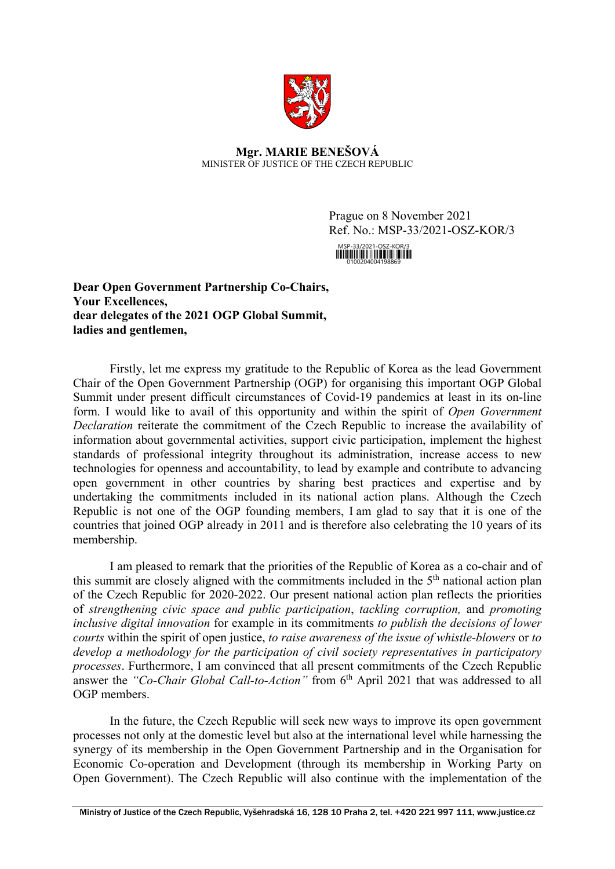

**Mgr. MARIE BENEŠOVÁ** MINISTER OF JUSTICE OF THE CZECH REPUBLIC

> Prague on 8 November 2021 Ref. No.: MSP-33/2021-OSZ-KOR/3

**Dear Open Government Partnership Co-Chairs, Your Excellences, dear delegates of the 2021 OGP Global Summit, ladies and gentlemen,**

Firstly, let me express my gratitude to the Republic of Korea as the lead Government Chair of the Open Government Partnership (OGP) for organising this important OGP Global Summit under present difficult circumstances of Covid-19 pandemics at least in its on-line form. I would like to avail of this opportunity and within the spirit of *Open Government Declaration* reiterate the commitment of the Czech Republic to increase the availability of information about governmental activities, support civic participation, implement the highest standards of professional integrity throughout its administration, increase access to new technologies for openness and accountability, to lead by example and contribute to advancing open government in other countries by sharing best practices and expertise and by undertaking the commitments included in its national action plans. Although the Czech Republic is not one of the OGP founding members, I am glad to say that it is one of the countries that joined OGP already in 2011 and is therefore also celebrating the 10 years of its membership.

I am pleased to remark that the priorities of the Republic of Korea as a co-chair and of this summit are closely aligned with the commitments included in the 5<sup>th</sup> national action plan of the Czech Republic for 2020-2022. Our present national action plan reflects the priorities of *strengthening civic space and public participation*, *tackling corruption,* and *promoting inclusive digital innovation* for example in its commitments *to publish the decisions of lower courts* within the spirit of open justice, *to raise awareness of the issue of whistle-blowers* or *to develop a methodology for the participation of civil society representatives in participatory processes*. Furthermore, I am convinced that all present commitments of the Czech Republic answer the *"Co-Chair Global Call-to-Action"* from 6<sup>th</sup> April 2021 that was addressed to all OGP members.

In the future, the Czech Republic will seek new ways to improve its open government processes not only at the domestic level but also at the international level while harnessing the synergy of its membership in the Open Government Partnership and in the Organisation for Economic Co-operation and Development (through its membership in Working Party on Open Government). The Czech Republic will also continue with the implementation of the

Ministry of Justice of the Czech Republic, Vyšehradská 16, 128 10 Praha 2, tel. +420 221 997 111, www.justice.cz